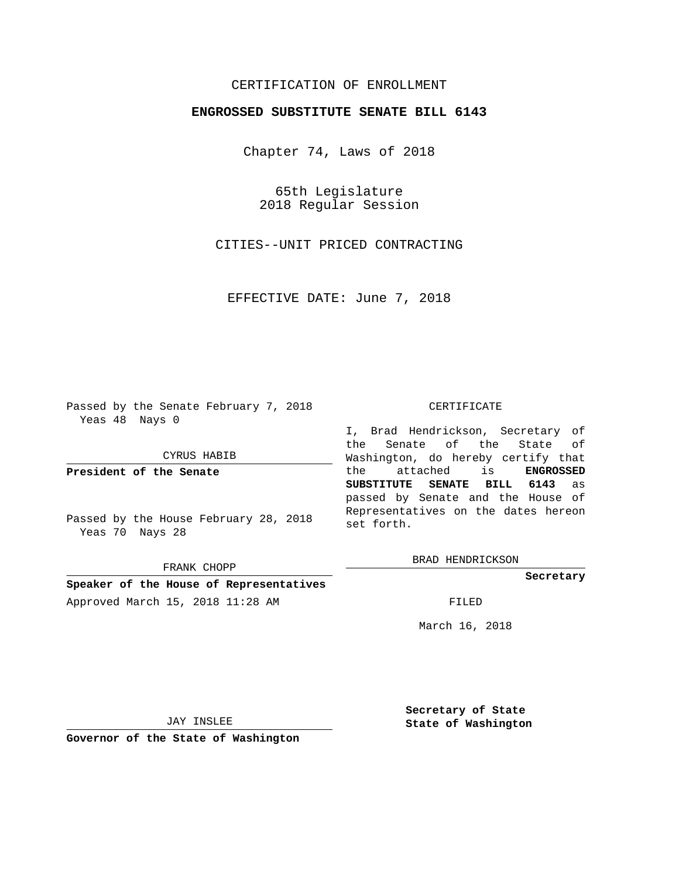## CERTIFICATION OF ENROLLMENT

## **ENGROSSED SUBSTITUTE SENATE BILL 6143**

Chapter 74, Laws of 2018

65th Legislature 2018 Regular Session

CITIES--UNIT PRICED CONTRACTING

EFFECTIVE DATE: June 7, 2018

Passed by the Senate February 7, 2018 Yeas 48 Nays 0

CYRUS HABIB

**President of the Senate**

Passed by the House February 28, 2018 Yeas 70 Nays 28

FRANK CHOPP

**Speaker of the House of Representatives** Approved March 15, 2018 11:28 AM FILED

## CERTIFICATE

I, Brad Hendrickson, Secretary of the Senate of the State of Washington, do hereby certify that the attached is **ENGROSSED SUBSTITUTE SENATE BILL 6143** as passed by Senate and the House of Representatives on the dates hereon set forth.

BRAD HENDRICKSON

**Secretary**

March 16, 2018

JAY INSLEE

**Governor of the State of Washington**

**Secretary of State State of Washington**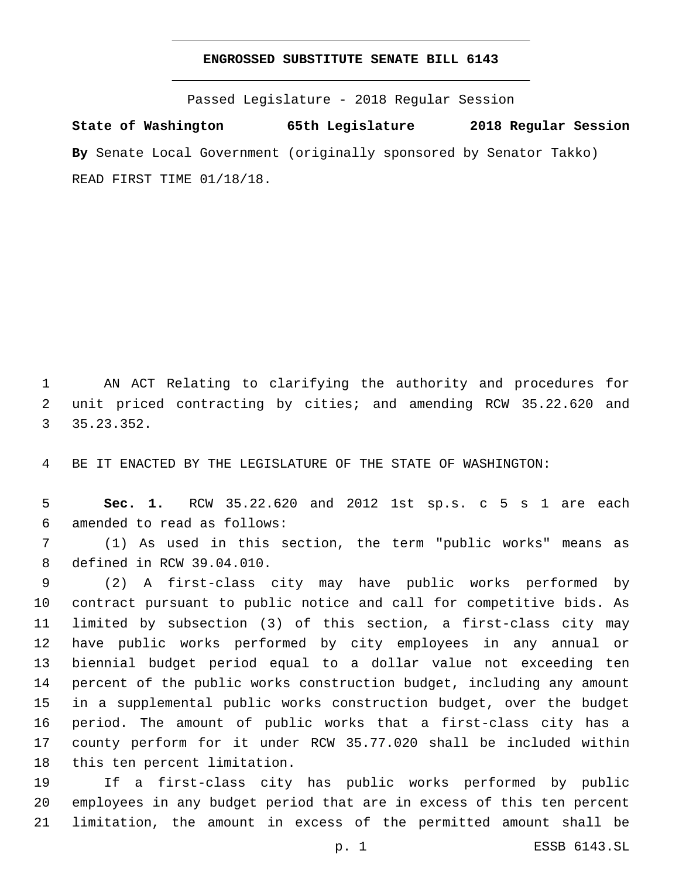## **ENGROSSED SUBSTITUTE SENATE BILL 6143**

Passed Legislature - 2018 Regular Session

**State of Washington 65th Legislature 2018 Regular Session By** Senate Local Government (originally sponsored by Senator Takko) READ FIRST TIME 01/18/18.

 AN ACT Relating to clarifying the authority and procedures for unit priced contracting by cities; and amending RCW 35.22.620 and 35.23.352.3

BE IT ENACTED BY THE LEGISLATURE OF THE STATE OF WASHINGTON:

 **Sec. 1.** RCW 35.22.620 and 2012 1st sp.s. c 5 s 1 are each amended to read as follows:6

 (1) As used in this section, the term "public works" means as 8 defined in RCW 39.04.010.

 (2) A first-class city may have public works performed by contract pursuant to public notice and call for competitive bids. As limited by subsection (3) of this section, a first-class city may have public works performed by city employees in any annual or biennial budget period equal to a dollar value not exceeding ten percent of the public works construction budget, including any amount in a supplemental public works construction budget, over the budget period. The amount of public works that a first-class city has a county perform for it under RCW 35.77.020 shall be included within 18 this ten percent limitation.

 If a first-class city has public works performed by public employees in any budget period that are in excess of this ten percent limitation, the amount in excess of the permitted amount shall be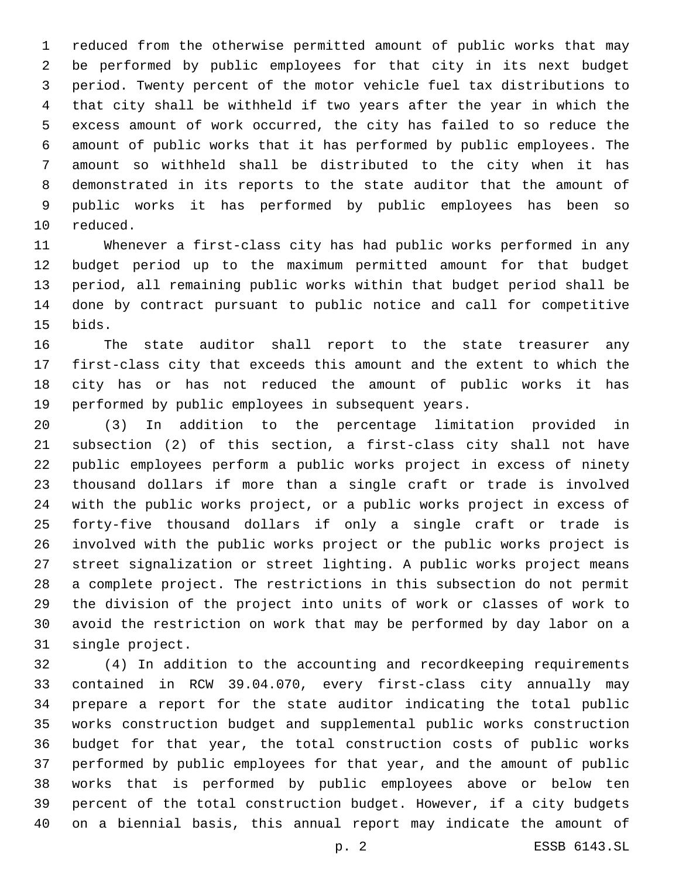reduced from the otherwise permitted amount of public works that may be performed by public employees for that city in its next budget period. Twenty percent of the motor vehicle fuel tax distributions to that city shall be withheld if two years after the year in which the excess amount of work occurred, the city has failed to so reduce the amount of public works that it has performed by public employees. The amount so withheld shall be distributed to the city when it has demonstrated in its reports to the state auditor that the amount of public works it has performed by public employees has been so 10 reduced.

 Whenever a first-class city has had public works performed in any budget period up to the maximum permitted amount for that budget period, all remaining public works within that budget period shall be done by contract pursuant to public notice and call for competitive 15 bids.

 The state auditor shall report to the state treasurer any first-class city that exceeds this amount and the extent to which the city has or has not reduced the amount of public works it has performed by public employees in subsequent years.

 (3) In addition to the percentage limitation provided in subsection (2) of this section, a first-class city shall not have public employees perform a public works project in excess of ninety thousand dollars if more than a single craft or trade is involved with the public works project, or a public works project in excess of forty-five thousand dollars if only a single craft or trade is involved with the public works project or the public works project is street signalization or street lighting. A public works project means a complete project. The restrictions in this subsection do not permit the division of the project into units of work or classes of work to avoid the restriction on work that may be performed by day labor on a 31 single project.

 (4) In addition to the accounting and recordkeeping requirements contained in RCW 39.04.070, every first-class city annually may prepare a report for the state auditor indicating the total public works construction budget and supplemental public works construction budget for that year, the total construction costs of public works performed by public employees for that year, and the amount of public works that is performed by public employees above or below ten percent of the total construction budget. However, if a city budgets on a biennial basis, this annual report may indicate the amount of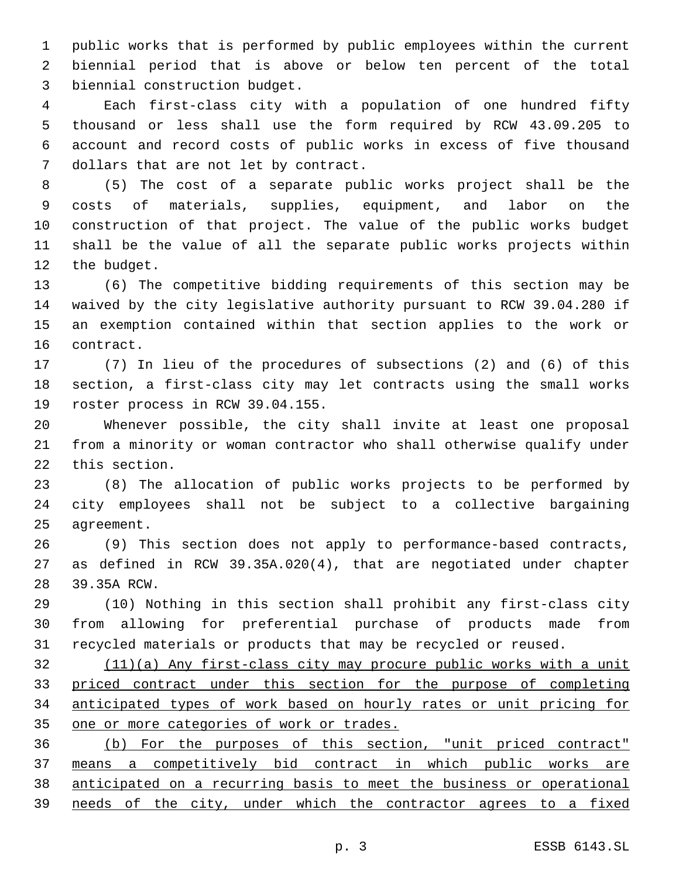public works that is performed by public employees within the current biennial period that is above or below ten percent of the total 3 biennial construction budget.

 Each first-class city with a population of one hundred fifty thousand or less shall use the form required by RCW 43.09.205 to account and record costs of public works in excess of five thousand 7 dollars that are not let by contract.

 (5) The cost of a separate public works project shall be the costs of materials, supplies, equipment, and labor on the construction of that project. The value of the public works budget shall be the value of all the separate public works projects within 12 the budget.

 (6) The competitive bidding requirements of this section may be waived by the city legislative authority pursuant to RCW 39.04.280 if an exemption contained within that section applies to the work or 16 contract.

 (7) In lieu of the procedures of subsections (2) and (6) of this section, a first-class city may let contracts using the small works 19 roster process in RCW 39.04.155.

 Whenever possible, the city shall invite at least one proposal from a minority or woman contractor who shall otherwise qualify under 22 this section.

 (8) The allocation of public works projects to be performed by city employees shall not be subject to a collective bargaining 25 agreement.

 (9) This section does not apply to performance-based contracts, as defined in RCW 39.35A.020(4), that are negotiated under chapter 28 39.35A RCW.

 (10) Nothing in this section shall prohibit any first-class city from allowing for preferential purchase of products made from recycled materials or products that may be recycled or reused.

 (11)(a) Any first-class city may procure public works with a unit priced contract under this section for the purpose of completing anticipated types of work based on hourly rates or unit pricing for one or more categories of work or trades.

 (b) For the purposes of this section, "unit priced contract" means a competitively bid contract in which public works are anticipated on a recurring basis to meet the business or operational needs of the city, under which the contractor agrees to a fixed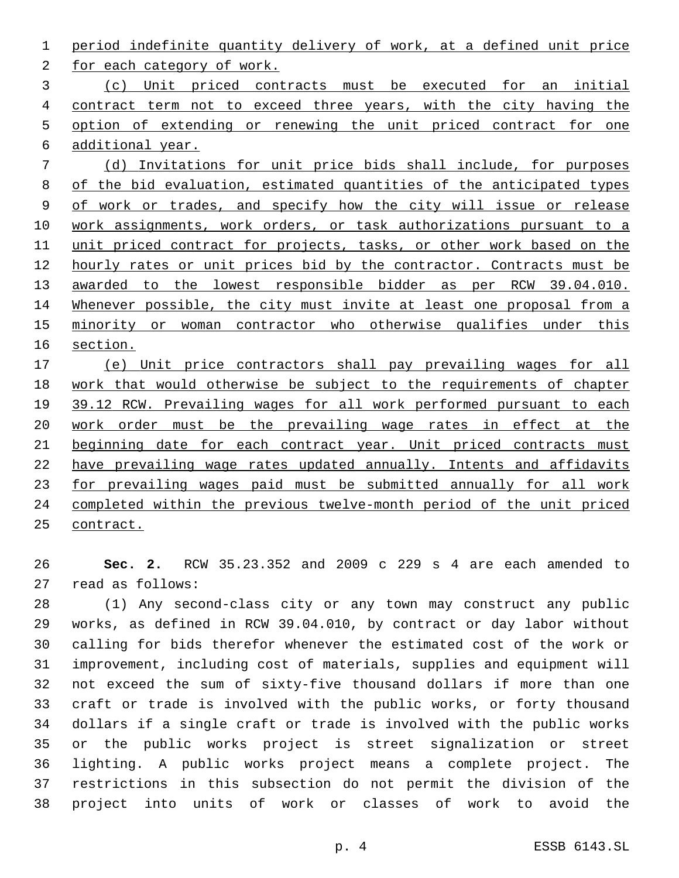period indefinite quantity delivery of work, at a defined unit price

2 for each category of work.

 (c) Unit priced contracts must be executed for an initial contract term not to exceed three years, with the city having the option of extending or renewing the unit priced contract for one additional year.

 (d) Invitations for unit price bids shall include, for purposes of the bid evaluation, estimated quantities of the anticipated types of work or trades, and specify how the city will issue or release work assignments, work orders, or task authorizations pursuant to a unit priced contract for projects, tasks, or other work based on the hourly rates or unit prices bid by the contractor. Contracts must be awarded to the lowest responsible bidder as per RCW 39.04.010. Whenever possible, the city must invite at least one proposal from a minority or woman contractor who otherwise qualifies under this section.

 (e) Unit price contractors shall pay prevailing wages for all work that would otherwise be subject to the requirements of chapter 19 39.12 RCW. Prevailing wages for all work performed pursuant to each work order must be the prevailing wage rates in effect at the 21 beginning date for each contract year. Unit priced contracts must have prevailing wage rates updated annually. Intents and affidavits for prevailing wages paid must be submitted annually for all work completed within the previous twelve-month period of the unit priced contract.

 **Sec. 2.** RCW 35.23.352 and 2009 c 229 s 4 are each amended to 27 read as follows:

 (1) Any second-class city or any town may construct any public works, as defined in RCW 39.04.010, by contract or day labor without calling for bids therefor whenever the estimated cost of the work or improvement, including cost of materials, supplies and equipment will not exceed the sum of sixty-five thousand dollars if more than one craft or trade is involved with the public works, or forty thousand dollars if a single craft or trade is involved with the public works or the public works project is street signalization or street lighting. A public works project means a complete project. The restrictions in this subsection do not permit the division of the project into units of work or classes of work to avoid the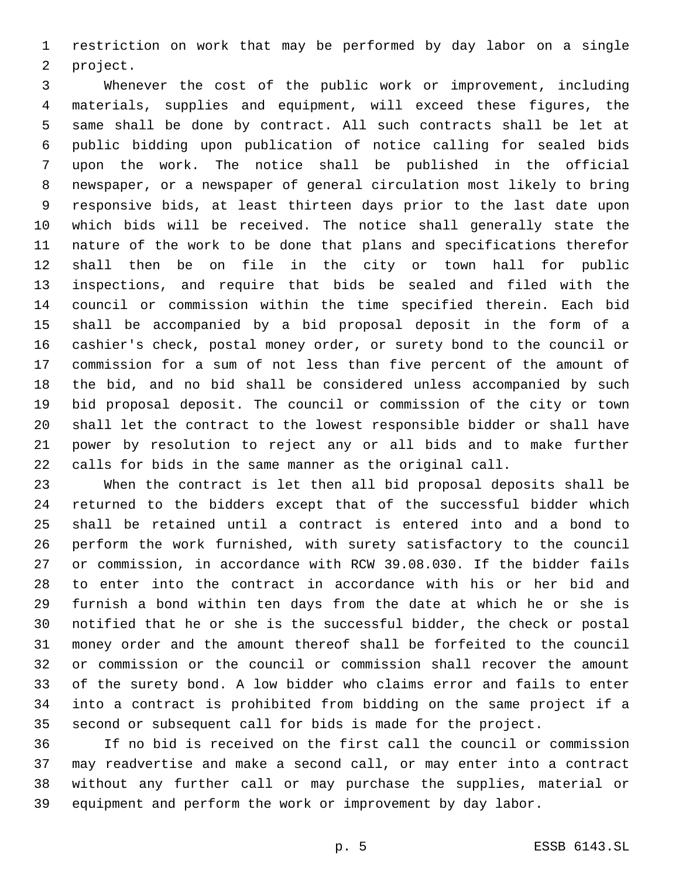restriction on work that may be performed by day labor on a single 2 project.

 Whenever the cost of the public work or improvement, including materials, supplies and equipment, will exceed these figures, the same shall be done by contract. All such contracts shall be let at public bidding upon publication of notice calling for sealed bids upon the work. The notice shall be published in the official newspaper, or a newspaper of general circulation most likely to bring responsive bids, at least thirteen days prior to the last date upon which bids will be received. The notice shall generally state the nature of the work to be done that plans and specifications therefor shall then be on file in the city or town hall for public inspections, and require that bids be sealed and filed with the council or commission within the time specified therein. Each bid shall be accompanied by a bid proposal deposit in the form of a cashier's check, postal money order, or surety bond to the council or commission for a sum of not less than five percent of the amount of the bid, and no bid shall be considered unless accompanied by such bid proposal deposit. The council or commission of the city or town shall let the contract to the lowest responsible bidder or shall have power by resolution to reject any or all bids and to make further calls for bids in the same manner as the original call.

 When the contract is let then all bid proposal deposits shall be returned to the bidders except that of the successful bidder which shall be retained until a contract is entered into and a bond to perform the work furnished, with surety satisfactory to the council or commission, in accordance with RCW 39.08.030. If the bidder fails to enter into the contract in accordance with his or her bid and furnish a bond within ten days from the date at which he or she is notified that he or she is the successful bidder, the check or postal money order and the amount thereof shall be forfeited to the council or commission or the council or commission shall recover the amount of the surety bond. A low bidder who claims error and fails to enter into a contract is prohibited from bidding on the same project if a second or subsequent call for bids is made for the project.

 If no bid is received on the first call the council or commission may readvertise and make a second call, or may enter into a contract without any further call or may purchase the supplies, material or equipment and perform the work or improvement by day labor.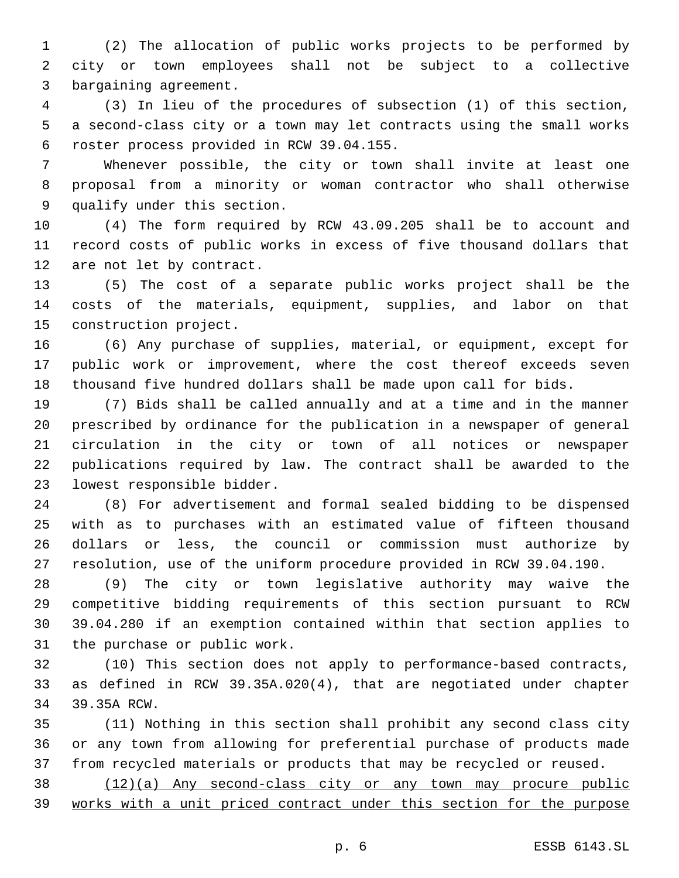(2) The allocation of public works projects to be performed by city or town employees shall not be subject to a collective 3 bargaining agreement.

 (3) In lieu of the procedures of subsection (1) of this section, a second-class city or a town may let contracts using the small works roster process provided in RCW 39.04.155.6

 Whenever possible, the city or town shall invite at least one proposal from a minority or woman contractor who shall otherwise 9 qualify under this section.

 (4) The form required by RCW 43.09.205 shall be to account and record costs of public works in excess of five thousand dollars that 12 are not let by contract.

 (5) The cost of a separate public works project shall be the costs of the materials, equipment, supplies, and labor on that 15 construction project.

 (6) Any purchase of supplies, material, or equipment, except for public work or improvement, where the cost thereof exceeds seven thousand five hundred dollars shall be made upon call for bids.

 (7) Bids shall be called annually and at a time and in the manner prescribed by ordinance for the publication in a newspaper of general circulation in the city or town of all notices or newspaper publications required by law. The contract shall be awarded to the 23 lowest responsible bidder.

 (8) For advertisement and formal sealed bidding to be dispensed with as to purchases with an estimated value of fifteen thousand dollars or less, the council or commission must authorize by resolution, use of the uniform procedure provided in RCW 39.04.190.

 (9) The city or town legislative authority may waive the competitive bidding requirements of this section pursuant to RCW 39.04.280 if an exemption contained within that section applies to 31 the purchase or public work.

 (10) This section does not apply to performance-based contracts, as defined in RCW 39.35A.020(4), that are negotiated under chapter 34 39.35A RCW.

 (11) Nothing in this section shall prohibit any second class city or any town from allowing for preferential purchase of products made from recycled materials or products that may be recycled or reused.

 (12)(a) Any second-class city or any town may procure public works with a unit priced contract under this section for the purpose